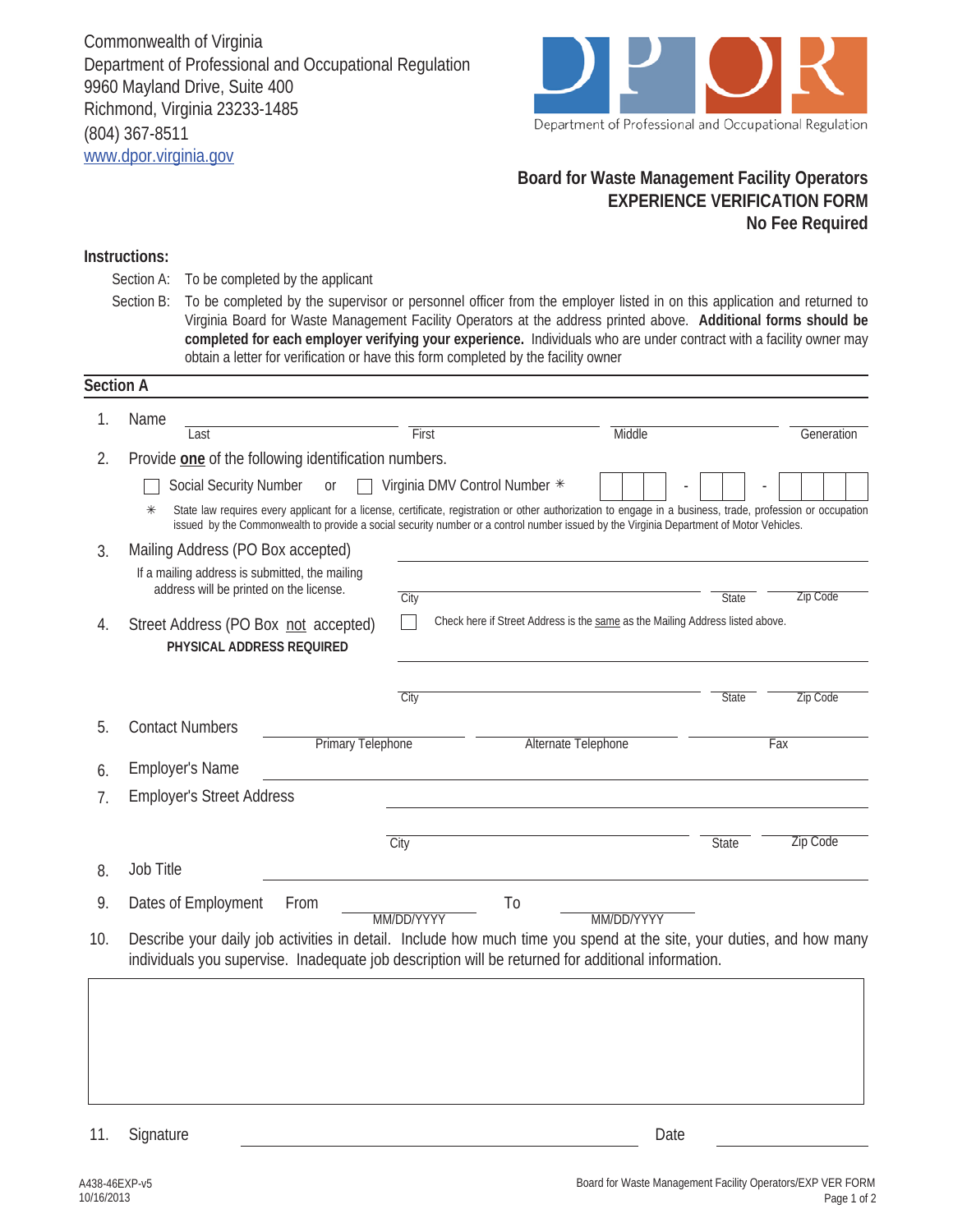

## **Board for Waste Management Facility Operators EXPERIENCE VERIFICATION FORM No Fee Required**

## **Instructions:**

- To be completed by the applicant Section A:
- To be completed by the supervisor or personnel officer from the employer listed in on this application and returned to Virginia Board for Waste Management Facility Operators at the address printed above. **Additional forms should be completed for each employer verifying your experience.** Individuals who are under contract with a facility owner may obtain a letter for verification or have this form completed by the facility owner Section B:

| 1.  | Name                                                                                                                                                                                                                                                                                                             |                               |                                                                               |                 |  |  |  |
|-----|------------------------------------------------------------------------------------------------------------------------------------------------------------------------------------------------------------------------------------------------------------------------------------------------------------------|-------------------------------|-------------------------------------------------------------------------------|-----------------|--|--|--|
|     | Last                                                                                                                                                                                                                                                                                                             | First                         | Middle                                                                        | Generation      |  |  |  |
| 2.  | Provide one of the following identification numbers.                                                                                                                                                                                                                                                             |                               |                                                                               |                 |  |  |  |
|     | Social Security Number<br><b>Or</b>                                                                                                                                                                                                                                                                              | Virginia DMV Control Number * |                                                                               |                 |  |  |  |
|     | State law requires every applicant for a license, certificate, registration or other authorization to engage in a business, trade, profession or occupation<br>$\ast$<br>issued by the Commonwealth to provide a social security number or a control number issued by the Virginia Department of Motor Vehicles. |                               |                                                                               |                 |  |  |  |
| 3.  | Mailing Address (PO Box accepted)                                                                                                                                                                                                                                                                                |                               |                                                                               |                 |  |  |  |
|     | If a mailing address is submitted, the mailing                                                                                                                                                                                                                                                                   |                               |                                                                               |                 |  |  |  |
|     | address will be printed on the license.                                                                                                                                                                                                                                                                          | City                          | <b>State</b>                                                                  | Zip Code        |  |  |  |
| 4.  | Street Address (PO Box not accepted)<br>PHYSICAL ADDRESS REQUIRED                                                                                                                                                                                                                                                |                               | Check here if Street Address is the same as the Mailing Address listed above. |                 |  |  |  |
|     |                                                                                                                                                                                                                                                                                                                  | City                          | <b>State</b>                                                                  | Zip Code        |  |  |  |
| 5.  | <b>Contact Numbers</b><br><b>Primary Telephone</b>                                                                                                                                                                                                                                                               |                               | Alternate Telephone                                                           | Fax             |  |  |  |
| 6.  | <b>Employer's Name</b>                                                                                                                                                                                                                                                                                           |                               |                                                                               |                 |  |  |  |
| 7.  | <b>Employer's Street Address</b>                                                                                                                                                                                                                                                                                 |                               |                                                                               |                 |  |  |  |
|     |                                                                                                                                                                                                                                                                                                                  | City                          | <b>State</b>                                                                  | <b>Zip Code</b> |  |  |  |
| 8.  | Job Title                                                                                                                                                                                                                                                                                                        |                               |                                                                               |                 |  |  |  |
| 9.  | Dates of Employment<br>From                                                                                                                                                                                                                                                                                      | T <sub>0</sub><br>MM/DD/YYYY  | MM/DD/YYYY                                                                    |                 |  |  |  |
| 10. | Describe your daily job activities in detail. Include how much time you spend at the site, your duties, and how many<br>individuals you supervise. Inadequate job description will be returned for additional information.                                                                                       |                               |                                                                               |                 |  |  |  |

11. Signature Date